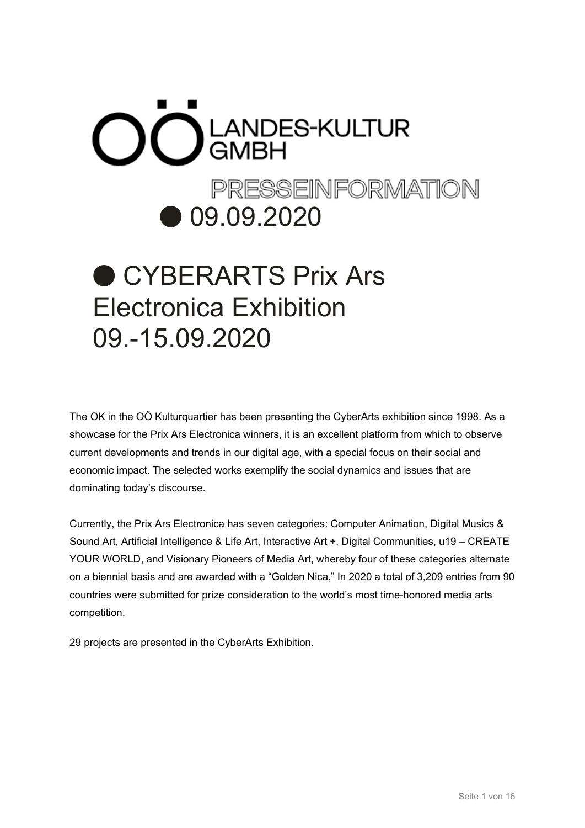# $\bigcirc$  C LANDES-KULTUR PRESSEINFORMATION ● 09.09.2020

# ● CYBERARTS Prix Ars Electronica Exhibition 09.-15.09.2020

The OK in the OÖ Kulturquartier has been presenting the CyberArts exhibition since 1998. As a showcase for the Prix Ars Electronica winners, it is an excellent platform from which to observe current developments and trends in our digital age, with a special focus on their social and economic impact. The selected works exemplify the social dynamics and issues that are dominating today's discourse.

Currently, the Prix Ars Electronica has seven categories: Computer Animation, Digital Musics & Sound Art, Artificial Intelligence & Life Art, Interactive Art +, Digital Communities, u19 – CREATE YOUR WORLD, and Visionary Pioneers of Media Art, whereby four of these categories alternate on a biennial basis and are awarded with a "Golden Nica," In 2020 a total of 3,209 entries from 90 countries were submitted for prize consideration to the world's most time-honored media arts competition.

29 projects are presented in the CyberArts Exhibition.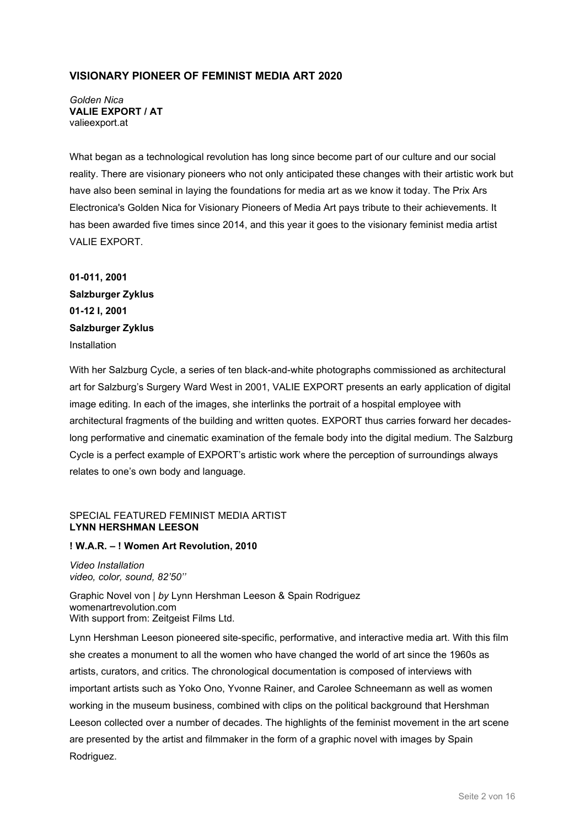#### **VISIONARY PIONEER OF FEMINIST MEDIA ART 2020**

*Golden Nica* **VALIE EXPORT / AT** valieexport.at

What began as a technological revolution has long since become part of our culture and our social reality. There are visionary pioneers who not only anticipated these changes with their artistic work but have also been seminal in laying the foundations for media art as we know it today. The Prix Ars Electronica's Golden Nica for Visionary Pioneers of Media Art pays tribute to their achievements. It has been awarded five times since 2014, and this year it goes to the visionary feminist media artist VALIE EXPORT.

**01-011, 2001 Salzburger Zyklus 01-12 I, 2001 Salzburger Zyklus** Installation

With her Salzburg Cycle, a series of ten black-and-white photographs commissioned as architectural art for Salzburg's Surgery Ward West in 2001, VALIE EXPORT presents an early application of digital image editing. In each of the images, she interlinks the portrait of a hospital employee with architectural fragments of the building and written quotes. EXPORT thus carries forward her decadeslong performative and cinematic examination of the female body into the digital medium. The Salzburg Cycle is a perfect example of EXPORT's artistic work where the perception of surroundings always relates to one's own body and language.

#### SPECIAL FEATURED FEMINIST MEDIA ARTIST **LYNN HERSHMAN LEESON**

#### **! W.A.R. – ! Women Art Revolution, 2010**

*Video Installation video, color, sound, 82'50''*

Graphic Novel von | *by* Lynn Hershman Leeson & Spain Rodriguez womenartrevolution.com With support from: Zeitgeist Films Ltd.

Lynn Hershman Leeson pioneered site-specific, performative, and interactive media art. With this film she creates a monument to all the women who have changed the world of art since the 1960s as artists, curators, and critics. The chronological documentation is composed of interviews with important artists such as Yoko Ono, Yvonne Rainer, and Carolee Schneemann as well as women working in the museum business, combined with clips on the political background that Hershman Leeson collected over a number of decades. The highlights of the feminist movement in the art scene are presented by the artist and filmmaker in the form of a graphic novel with images by Spain Rodriguez.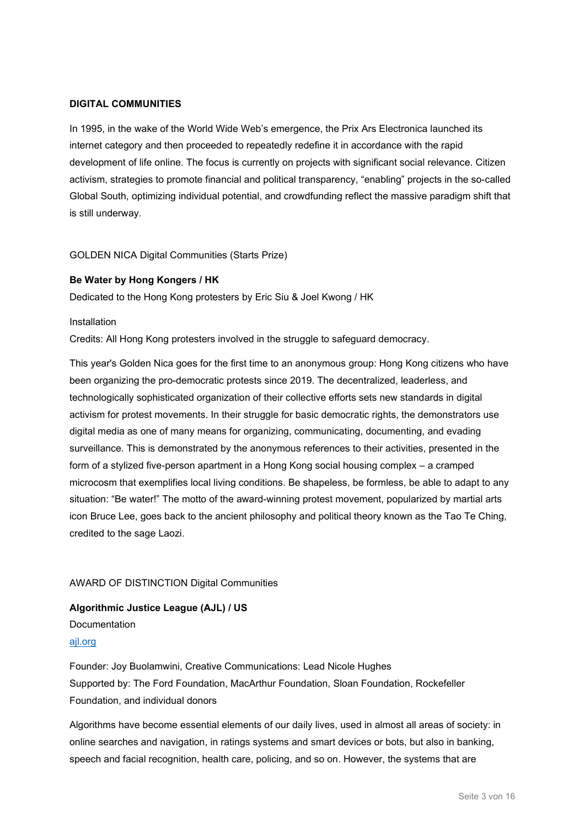#### **DIGITAL COMMUNITIES**

In 1995, in the wake of the World Wide Web's emergence, the Prix Ars Electronica launched its internet category and then proceeded to repeatedly redefine it in accordance with the rapid development of life online. The focus is currently on projects with significant social relevance. Citizen activism, strategies to promote financial and political transparency, "enabling" projects in the so-called Global South, optimizing individual potential, and crowdfunding reflect the massive paradigm shift that is still underway.

#### GOLDEN NICA Digital Communities (Starts Prize)

#### **Be Water by Hong Kongers / HK**

Dedicated to the Hong Kong protesters by Eric Siu & Joel Kwong / HK

Installation

Credits: All Hong Kong protesters involved in the struggle to safeguard democracy.

This year's Golden Nica goes for the first time to an anonymous group: Hong Kong citizens who have been organizing the pro-democratic protests since 2019. The decentralized, leaderless, and technologically sophisticated organization of their collective efforts sets new standards in digital activism for protest movements. In their struggle for basic democratic rights, the demonstrators use digital media as one of many means for organizing, communicating, documenting, and evading surveillance. This is demonstrated by the anonymous references to their activities, presented in the form of a stylized five-person apartment in a Hong Kong social housing complex – a cramped microcosm that exemplifies local living conditions. Be shapeless, be formless, be able to adapt to any situation: "Be water!" The motto of the award-winning protest movement, popularized by martial arts icon Bruce Lee, goes back to the ancient philosophy and political theory known as the Tao Te Ching, credited to the sage Laozi.

#### AWARD OF DISTINCTION Digital Communities

**Algorithmic Justice League (AJL) / US** Documentation [ajl.org](http://www.ajl.org/)

Founder: Joy Buolamwini, Creative Communications: Lead Nicole Hughes Supported by: The Ford Foundation, MacArthur Foundation, Sloan Foundation, Rockefeller Foundation, and individual donors

Algorithms have become essential elements of our daily lives, used in almost all areas of society: in online searches and navigation, in ratings systems and smart devices or bots, but also in banking, speech and facial recognition, health care, policing, and so on. However, the systems that are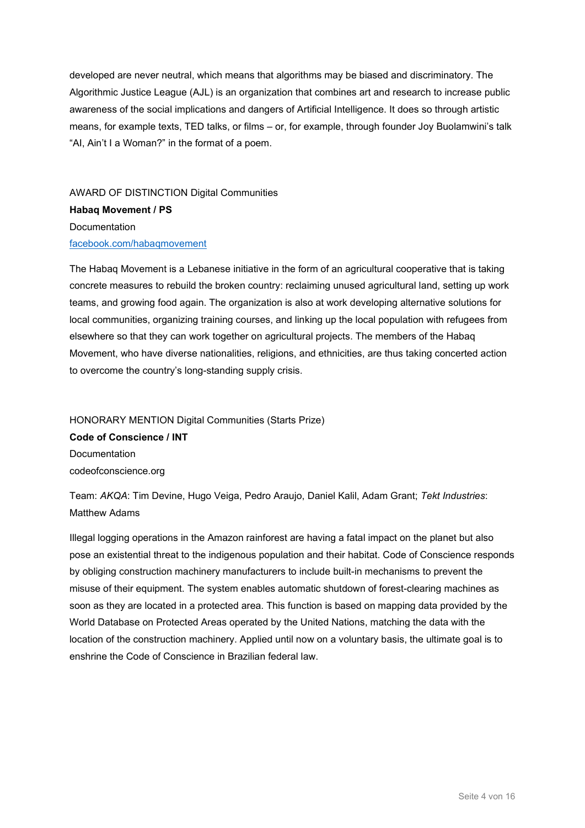developed are never neutral, which means that algorithms may be biased and discriminatory. The Algorithmic Justice League (AJL) is an organization that combines art and research to increase public awareness of the social implications and dangers of Artificial Intelligence. It does so through artistic means, for example texts, TED talks, or films – or, for example, through founder Joy Buolamwini's talk "AI, Ain't I a Woman?" in the format of a poem.

AWARD OF DISTINCTION Digital Communities **Habaq Movement / PS** Documentation [facebook.com/habaqmovement](http://www.facebook.com/habaqmovement)

The Habaq Movement is a Lebanese initiative in the form of an agricultural cooperative that is taking concrete measures to rebuild the broken country: reclaiming unused agricultural land, setting up work teams, and growing food again. The organization is also at work developing alternative solutions for local communities, organizing training courses, and linking up the local population with refugees from elsewhere so that they can work together on agricultural projects. The members of the Habaq Movement, who have diverse nationalities, religions, and ethnicities, are thus taking concerted action to overcome the country's long-standing supply crisis.

HONORARY MENTION Digital Communities (Starts Prize) **Code of Conscience / INT** Documentation codeofconscience.org

Team: *AKQA*: Tim Devine, Hugo Veiga, Pedro Araujo, Daniel Kalil, Adam Grant; *Tekt Industries*: Matthew Adams

Illegal logging operations in the Amazon rainforest are having a fatal impact on the planet but also pose an existential threat to the indigenous population and their habitat. Code of Conscience responds by obliging construction machinery manufacturers to include built-in mechanisms to prevent the misuse of their equipment. The system enables automatic shutdown of forest-clearing machines as soon as they are located in a protected area. This function is based on mapping data provided by the World Database on Protected Areas operated by the United Nations, matching the data with the location of the construction machinery. Applied until now on a voluntary basis, the ultimate goal is to enshrine the Code of Conscience in Brazilian federal law.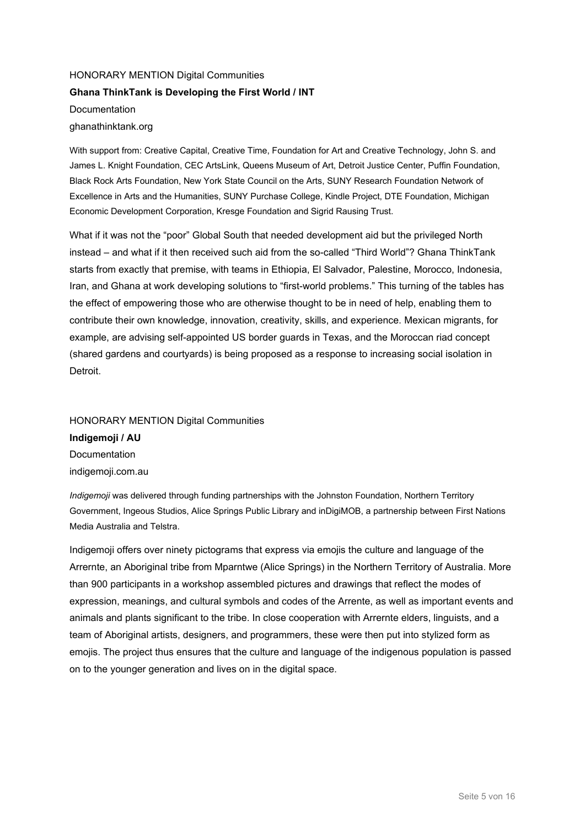# HONORARY MENTION Digital Communities **Ghana ThinkTank is Developing the First World / INT** Documentation ghanathinktank.org

With support from: Creative Capital, Creative Time, Foundation for Art and Creative Technology, John S. and James L. Knight Foundation, CEC ArtsLink, Queens Museum of Art, Detroit Justice Center, Puffin Foundation, Black Rock Arts Foundation, New York State Council on the Arts, SUNY Research Foundation Network of Excellence in Arts and the Humanities, SUNY Purchase College, Kindle Project, DTE Foundation, Michigan Economic Development Corporation, Kresge Foundation and Sigrid Rausing Trust.

What if it was not the "poor" Global South that needed development aid but the privileged North instead – and what if it then received such aid from the so-called "Third World"? Ghana ThinkTank starts from exactly that premise, with teams in Ethiopia, El Salvador, Palestine, Morocco, Indonesia, Iran, and Ghana at work developing solutions to "first-world problems." This turning of the tables has the effect of empowering those who are otherwise thought to be in need of help, enabling them to contribute their own knowledge, innovation, creativity, skills, and experience. Mexican migrants, for example, are advising self-appointed US border guards in Texas, and the Moroccan riad concept (shared gardens and courtyards) is being proposed as a response to increasing social isolation in **Detroit** 

# HONORARY MENTION Digital Communities **Indigemoji / AU** Documentation indigemoji.com.au

*Indigemoji* was delivered through funding partnerships with the Johnston Foundation, Northern Territory Government, Ingeous Studios, Alice Springs Public Library and inDigiMOB, a partnership between First Nations Media Australia and Telstra.

Indigemoji offers over ninety pictograms that express via emojis the culture and language of the Arrernte, an Aboriginal tribe from Mparntwe (Alice Springs) in the Northern Territory of Australia. More than 900 participants in a workshop assembled pictures and drawings that reflect the modes of expression, meanings, and cultural symbols and codes of the Arrente, as well as important events and animals and plants significant to the tribe. In close cooperation with Arrernte elders, linguists, and a team of Aboriginal artists, designers, and programmers, these were then put into stylized form as emojis. The project thus ensures that the culture and language of the indigenous population is passed on to the younger generation and lives on in the digital space.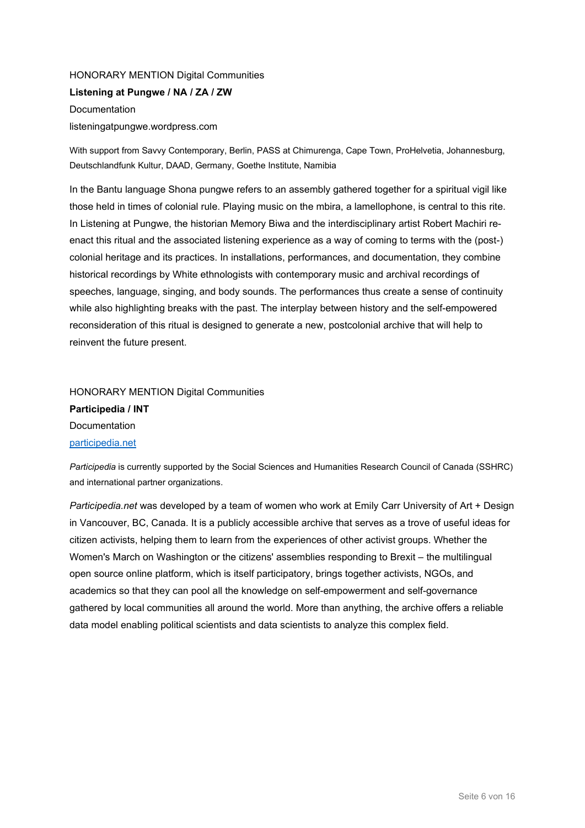# HONORARY MENTION Digital Communities

**Listening at Pungwe / NA / ZA / ZW Documentation** 

listeningatpungwe.wordpress.com

With support from Savvy Contemporary, Berlin, PASS at Chimurenga, Cape Town, ProHelvetia, Johannesburg, Deutschlandfunk Kultur, DAAD, Germany, Goethe Institute, Namibia

In the Bantu language Shona pungwe refers to an assembly gathered together for a spiritual vigil like those held in times of colonial rule. Playing music on the mbira, a lamellophone, is central to this rite. In Listening at Pungwe, the historian Memory Biwa and the interdisciplinary artist Robert Machiri reenact this ritual and the associated listening experience as a way of coming to terms with the (post-) colonial heritage and its practices. In installations, performances, and documentation, they combine historical recordings by White ethnologists with contemporary music and archival recordings of speeches, language, singing, and body sounds. The performances thus create a sense of continuity while also highlighting breaks with the past. The interplay between history and the self-empowered reconsideration of this ritual is designed to generate a new, postcolonial archive that will help to reinvent the future present.

# HONORARY MENTION Digital Communities **Participedia / INT** Documentation [participedia.net](https://participedia.net/)

*Participedia* is currently supported by the Social Sciences and Humanities Research Council of Canada (SSHRC) and international partner organizations.

*Participedia.net* was developed by a team of women who work at Emily Carr University of Art + Design in Vancouver, BC, Canada. It is a publicly accessible archive that serves as a trove of useful ideas for citizen activists, helping them to learn from the experiences of other activist groups. Whether the Women's March on Washington or the citizens' assemblies responding to Brexit – the multilingual open source online platform, which is itself participatory, brings together activists, NGOs, and academics so that they can pool all the knowledge on self-empowerment and self-governance gathered by local communities all around the world. More than anything, the archive offers a reliable data model enabling political scientists and data scientists to analyze this complex field.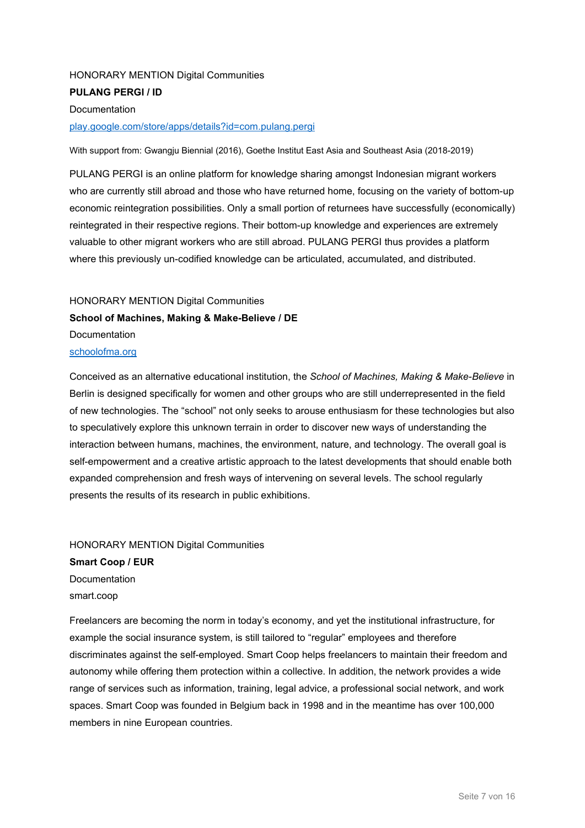## HONORARY MENTION Digital Communities **PULANG PERGI / ID Documentation**

#### [play.google.com/store/apps/details?id=com.pulang.pergi](https://play.google.com/store/apps/details?id=com.pulang.pergi)

With support from: Gwangju Biennial (2016), Goethe Institut East Asia and Southeast Asia (2018-2019)

PULANG PERGI is an online platform for knowledge sharing amongst Indonesian migrant workers who are currently still abroad and those who have returned home, focusing on the variety of bottom-up economic reintegration possibilities. Only a small portion of returnees have successfully (economically) reintegrated in their respective regions. Their bottom-up knowledge and experiences are extremely valuable to other migrant workers who are still abroad. PULANG PERGI thus provides a platform where this previously un-codified knowledge can be articulated, accumulated, and distributed.

# HONORARY MENTION Digital Communities **School of Machines, Making & Make-Believe / DE** Documentation [schoolofma.org](http://schoolofma.org/)

# Conceived as an alternative educational institution, the *School of Machines, Making & Make-Believe* in Berlin is designed specifically for women and other groups who are still underrepresented in the field of new technologies. The "school" not only seeks to arouse enthusiasm for these technologies but also to speculatively explore this unknown terrain in order to discover new ways of understanding the interaction between humans, machines, the environment, nature, and technology. The overall goal is self-empowerment and a creative artistic approach to the latest developments that should enable both expanded comprehension and fresh ways of intervening on several levels. The school regularly presents the results of its research in public exhibitions.

### HONORARY MENTION Digital Communities

**Smart Coop / EUR Documentation** smart.coop

Freelancers are becoming the norm in today's economy, and yet the institutional infrastructure, for example the social insurance system, is still tailored to "regular" employees and therefore discriminates against the self-employed. Smart Coop helps freelancers to maintain their freedom and autonomy while offering them protection within a collective. In addition, the network provides a wide range of services such as information, training, legal advice, a professional social network, and work spaces. Smart Coop was founded in Belgium back in 1998 and in the meantime has over 100,000 members in nine European countries.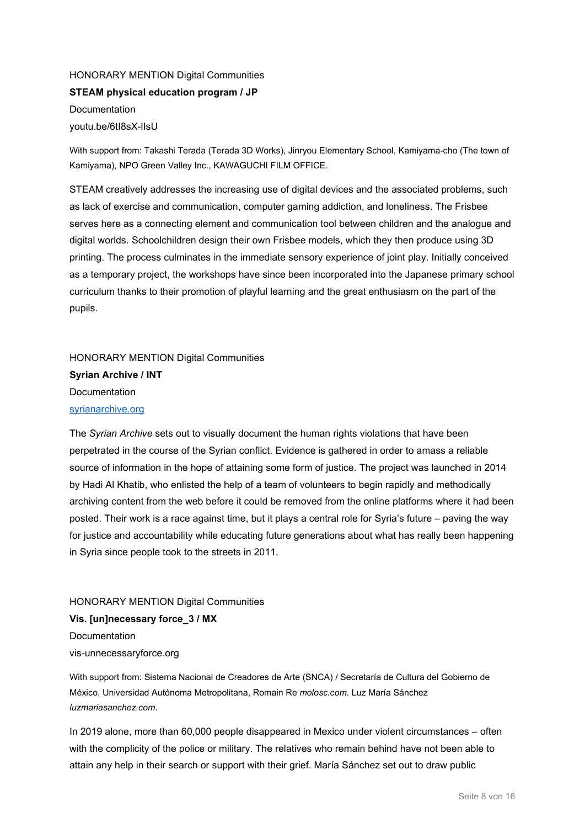# HONORARY MENTION Digital Communities **STEAM physical education program / JP** Documentation youtu.be/6tI8sX-lIsU

With support from: Takashi Terada (Terada 3D Works), Jinryou Elementary School, Kamiyama-cho (The town of Kamiyama), NPO Green Valley Inc., KAWAGUCHI FILM OFFICE.

STEAM creatively addresses the increasing use of digital devices and the associated problems, such as lack of exercise and communication, computer gaming addiction, and loneliness. The Frisbee serves here as a connecting element and communication tool between children and the analogue and digital worlds. Schoolchildren design their own Frisbee models, which they then produce using 3D printing. The process culminates in the immediate sensory experience of joint play. Initially conceived as a temporary project, the workshops have since been incorporated into the Japanese primary school curriculum thanks to their promotion of playful learning and the great enthusiasm on the part of the pupils.

HONORARY MENTION Digital Communities **Syrian Archive / INT** Documentation [syrianarchive.org](https://syrianarchive.org/)

The *Syrian Archive* sets out to visually document the human rights violations that have been perpetrated in the course of the Syrian conflict. Evidence is gathered in order to amass a reliable source of information in the hope of attaining some form of justice. The project was launched in 2014 by Hadi Al Khatib, who enlisted the help of a team of volunteers to begin rapidly and methodically archiving content from the web before it could be removed from the online platforms where it had been posted. Their work is a race against time, but it plays a central role for Syria's future – paving the way for justice and accountability while educating future generations about what has really been happening in Syria since people took to the streets in 2011.

HONORARY MENTION Digital Communities **Vis. [un]necessary force\_3 / MX** Documentation

vis-unnecessaryforce.org

With support from: Sistema Nacional de Creadores de Arte (SNCA) / Secretaría de Cultura del Gobierno de México, Universidad Autónoma Metropolitana, Romain Re *molosc.com.* Luz María Sánchez *luzmariasanchez.com*.

In 2019 alone, more than 60,000 people disappeared in Mexico under violent circumstances – often with the complicity of the police or military. The relatives who remain behind have not been able to attain any help in their search or support with their grief. María Sánchez set out to draw public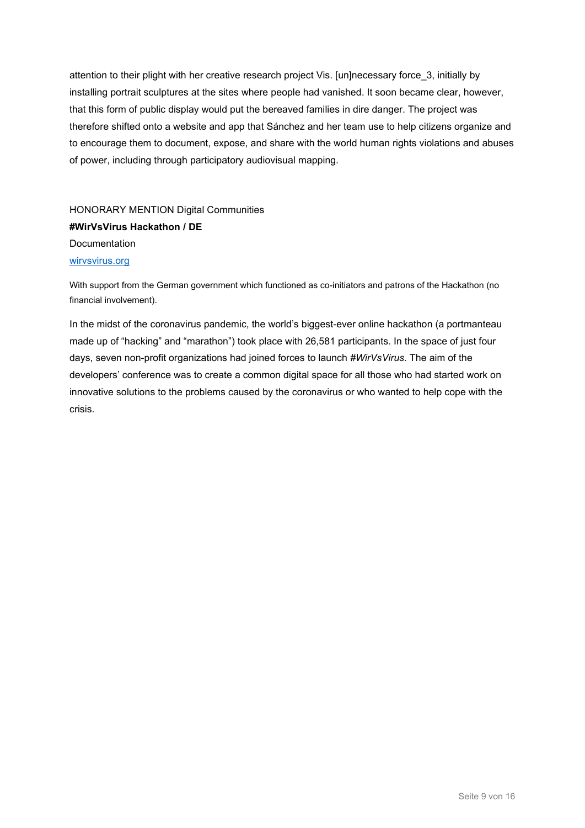attention to their plight with her creative research project Vis. [un]necessary force\_3, initially by installing portrait sculptures at the sites where people had vanished. It soon became clear, however, that this form of public display would put the bereaved families in dire danger. The project was therefore shifted onto a website and app that Sánchez and her team use to help citizens organize and to encourage them to document, expose, and share with the world human rights violations and abuses of power, including through participatory audiovisual mapping.

HONORARY MENTION Digital Communities **#WirVsVirus Hackathon / DE** Documentation [wirvsvirus.org](http://www.wirvsvirus.org/)

With support from the German government which functioned as co-initiators and patrons of the Hackathon (no financial involvement).

In the midst of the coronavirus pandemic, the world's biggest-ever online hackathon (a portmanteau made up of "hacking" and "marathon") took place with 26,581 participants. In the space of just four days, seven non-profit organizations had joined forces to launch *#WirVsVirus*. The aim of the developers' conference was to create a common digital space for all those who had started work on innovative solutions to the problems caused by the coronavirus or who wanted to help cope with the crisis.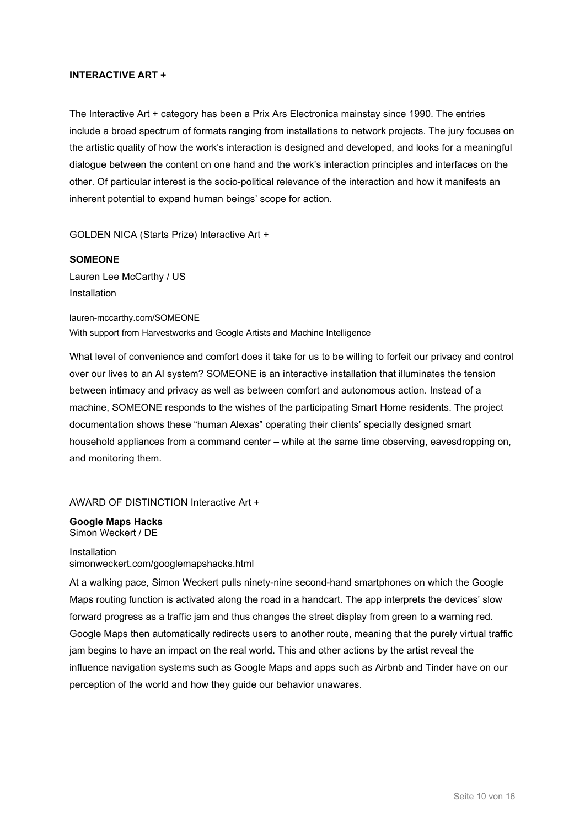#### **INTERACTIVE ART +**

The Interactive Art + category has been a Prix Ars Electronica mainstay since 1990. The entries include a broad spectrum of formats ranging from installations to network projects. The jury focuses on the artistic quality of how the work's interaction is designed and developed, and looks for a meaningful dialogue between the content on one hand and the work's interaction principles and interfaces on the other. Of particular interest is the socio-political relevance of the interaction and how it manifests an inherent potential to expand human beings' scope for action.

GOLDEN NICA (Starts Prize) Interactive Art +

# **SOMEONE** Lauren Lee McCarthy / US Installation

lauren-mccarthy.com/SOMEONE With support from Harvestworks and Google Artists and Machine Intelligence

What level of convenience and comfort does it take for us to be willing to forfeit our privacy and control over our lives to an AI system? SOMEONE is an interactive installation that illuminates the tension between intimacy and privacy as well as between comfort and autonomous action. Instead of a machine, SOMEONE responds to the wishes of the participating Smart Home residents. The project documentation shows these "human Alexas" operating their clients' specially designed smart household appliances from a command center – while at the same time observing, eavesdropping on, and monitoring them.

AWARD OF DISTINCTION Interactive Art +

**Google Maps Hacks** Simon Weckert / DE

Installation simonweckert.com/googlemapshacks.html

At a walking pace, Simon Weckert pulls ninety-nine second-hand smartphones on which the Google Maps routing function is activated along the road in a handcart. The app interprets the devices' slow forward progress as a traffic jam and thus changes the street display from green to a warning red. Google Maps then automatically redirects users to another route, meaning that the purely virtual traffic jam begins to have an impact on the real world. This and other actions by the artist reveal the influence navigation systems such as Google Maps and apps such as Airbnb and Tinder have on our perception of the world and how they guide our behavior unawares.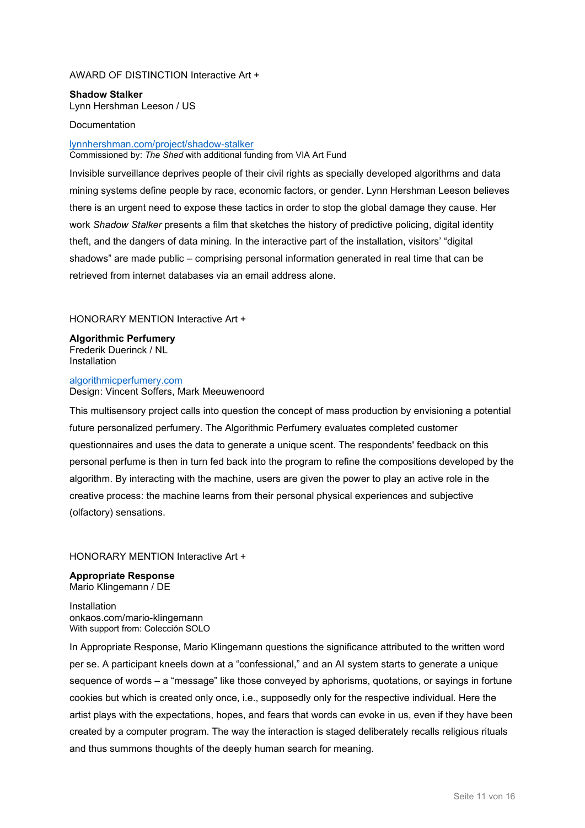#### AWARD OF DISTINCTION Interactive Art +

**Shadow Stalker** Lynn Hershman Leeson / US

#### Documentation

#### [lynnhershman.com/project/shadow-stalker](https://www.lynnhershman.com/project/shadow-stalker) Commissioned by: *The Shed* with additional funding from VIA Art Fund

Invisible surveillance deprives people of their civil rights as specially developed algorithms and data mining systems define people by race, economic factors, or gender. Lynn Hershman Leeson believes there is an urgent need to expose these tactics in order to stop the global damage they cause. Her work *Shadow Stalker* presents a film that sketches the history of predictive policing, digital identity theft, and the dangers of data mining. In the interactive part of the installation, visitors' "digital shadows" are made public – comprising personal information generated in real time that can be retrieved from internet databases via an email address alone.

#### HONORARY MENTION Interactive Art +

**Algorithmic Perfumery** Frederik Duerinck / NL Installation

#### [algorithmicperfumery.com](https://algorithmicperfumery.com/) Design: Vincent Soffers, Mark Meeuwenoord

This multisensory project calls into question the concept of mass production by envisioning a potential future personalized perfumery. The Algorithmic Perfumery evaluates completed customer questionnaires and uses the data to generate a unique scent. The respondents' feedback on this personal perfume is then in turn fed back into the program to refine the compositions developed by the algorithm. By interacting with the machine, users are given the power to play an active role in the creative process: the machine learns from their personal physical experiences and subjective (olfactory) sensations.

#### HONORARY MENTION Interactive Art +

**Appropriate Response** Mario Klingemann / DE

Installation onkaos.com/mario-klingemann With support from: Colección SOLO

In Appropriate Response, Mario Klingemann questions the significance attributed to the written word per se. A participant kneels down at a "confessional," and an AI system starts to generate a unique sequence of words – a "message" like those conveyed by aphorisms, quotations, or sayings in fortune cookies but which is created only once, i.e., supposedly only for the respective individual. Here the artist plays with the expectations, hopes, and fears that words can evoke in us, even if they have been created by a computer program. The way the interaction is staged deliberately recalls religious rituals and thus summons thoughts of the deeply human search for meaning.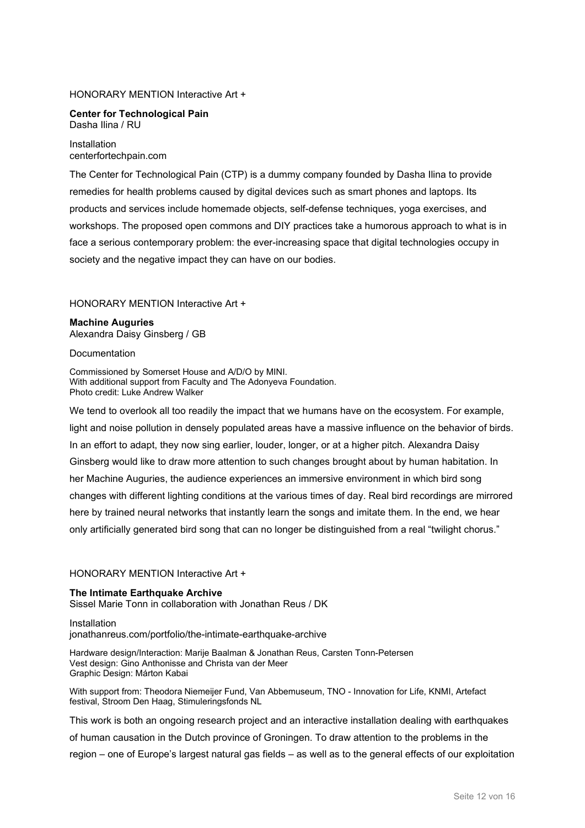#### HONORARY MENTION Interactive Art +

**Center for Technological Pain** Dasha Ilina / RU

Installation centerfortechpain.com

The Center for Technological Pain (CTP) is a dummy company founded by Dasha Ilina to provide remedies for health problems caused by digital devices such as smart phones and laptops. Its products and services include homemade objects, self-defense techniques, yoga exercises, and workshops. The proposed open commons and DIY practices take a humorous approach to what is in face a serious contemporary problem: the ever-increasing space that digital technologies occupy in society and the negative impact they can have on our bodies.

#### HONORARY MENTION Interactive Art +

**Machine Auguries** Alexandra Daisy Ginsberg / GB

#### **Documentation**

Commissioned by Somerset House and A/D/O by MINI. With additional support from Faculty and The Adonyeva Foundation. Photo credit: Luke Andrew Walker

We tend to overlook all too readily the impact that we humans have on the ecosystem. For example, light and noise pollution in densely populated areas have a massive influence on the behavior of birds. In an effort to adapt, they now sing earlier, louder, longer, or at a higher pitch. Alexandra Daisy Ginsberg would like to draw more attention to such changes brought about by human habitation. In her Machine Auguries, the audience experiences an immersive environment in which bird song changes with different lighting conditions at the various times of day. Real bird recordings are mirrored here by trained neural networks that instantly learn the songs and imitate them. In the end, we hear only artificially generated bird song that can no longer be distinguished from a real "twilight chorus."

#### HONORARY MENTION Interactive Art +

#### **The Intimate Earthquake Archive** Sissel Marie Tonn in collaboration with Jonathan Reus / DK

Installation jonathanreus.com/portfolio/the-intimate-earthquake-archive

Hardware design/Interaction: Marije Baalman & Jonathan Reus, Carsten Tonn-Petersen Vest design: Gino Anthonisse and Christa van der Meer Graphic Design: Márton Kabai

With support from: Theodora Niemeijer Fund, Van Abbemuseum, TNO - Innovation for Life, KNMI, Artefact festival, Stroom Den Haag, Stimuleringsfonds NL

This work is both an ongoing research project and an interactive installation dealing with earthquakes of human causation in the Dutch province of Groningen. To draw attention to the problems in the region – one of Europe's largest natural gas fields – as well as to the general effects of our exploitation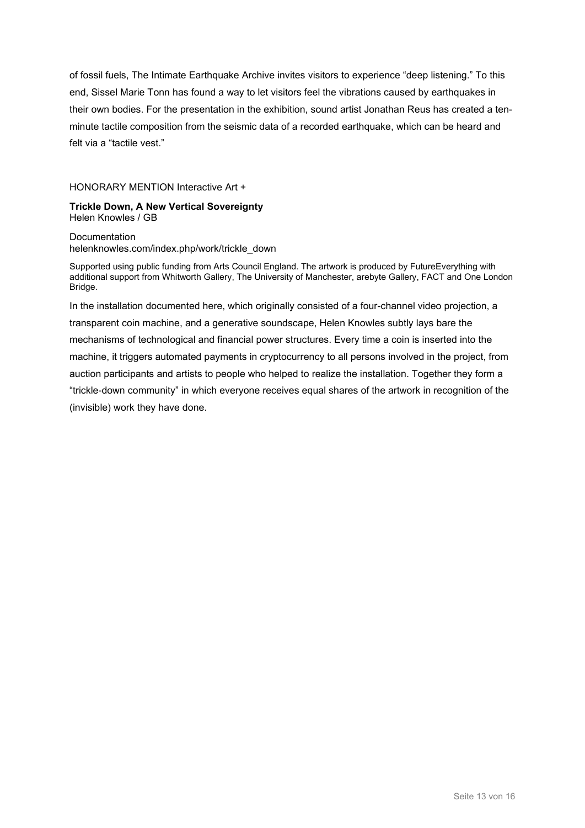of fossil fuels, The Intimate Earthquake Archive invites visitors to experience "deep listening." To this end, Sissel Marie Tonn has found a way to let visitors feel the vibrations caused by earthquakes in their own bodies. For the presentation in the exhibition, sound artist Jonathan Reus has created a tenminute tactile composition from the seismic data of a recorded earthquake, which can be heard and felt via a "tactile vest."

#### HONORARY MENTION Interactive Art +

#### **Trickle Down, A New Vertical Sovereignty** Helen Knowles / GB

Documentation helenknowles.com/index.php/work/trickle\_down

Supported using public funding from Arts Council England. The artwork is produced by FutureEverything with additional support from Whitworth Gallery, The University of Manchester, arebyte Gallery, FACT and One London Bridge.

In the installation documented here, which originally consisted of a four-channel video projection, a transparent coin machine, and a generative soundscape, Helen Knowles subtly lays bare the mechanisms of technological and financial power structures. Every time a coin is inserted into the machine, it triggers automated payments in cryptocurrency to all persons involved in the project, from auction participants and artists to people who helped to realize the installation. Together they form a "trickle-down community" in which everyone receives equal shares of the artwork in recognition of the (invisible) work they have done.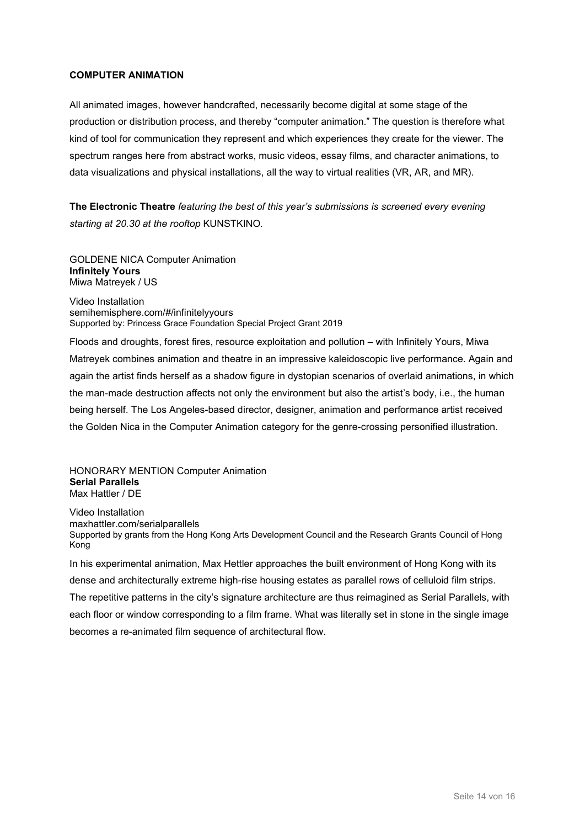#### **COMPUTER ANIMATION**

All animated images, however handcrafted, necessarily become digital at some stage of the production or distribution process, and thereby "computer animation." The question is therefore what kind of tool for communication they represent and which experiences they create for the viewer. The spectrum ranges here from abstract works, music videos, essay films, and character animations, to data visualizations and physical installations, all the way to virtual realities (VR, AR, and MR).

**The Electronic Theatre** *featuring the best of this year's submissions is screened every evening starting at 20.30 at the rooftop* KUNSTKINO*.* 

GOLDENE NICA Computer Animation **Infinitely Yours**  Miwa Matreyek / US

Video Installation semihemisphere.com/#/infinitelyyours Supported by: Princess Grace Foundation Special Project Grant 2019

Floods and droughts, forest fires, resource exploitation and pollution – with Infinitely Yours, Miwa Matreyek combines animation and theatre in an impressive kaleidoscopic live performance. Again and again the artist finds herself as a shadow figure in dystopian scenarios of overlaid animations, in which the man-made destruction affects not only the environment but also the artist's body, i.e., the human being herself. The Los Angeles-based director, designer, animation and performance artist received the Golden Nica in the Computer Animation category for the genre-crossing personified illustration.

HONORARY MENTION Computer Animation **Serial Parallels** Max Hattler / DE

Video Installation maxhattler.com/serialparallels Supported by grants from the Hong Kong Arts Development Council and the Research Grants Council of Hong Kong

In his experimental animation, Max Hettler approaches the built environment of Hong Kong with its dense and architecturally extreme high-rise housing estates as parallel rows of celluloid film strips. The repetitive patterns in the city's signature architecture are thus reimagined as Serial Parallels, with each floor or window corresponding to a film frame. What was literally set in stone in the single image becomes a re-animated film sequence of architectural flow.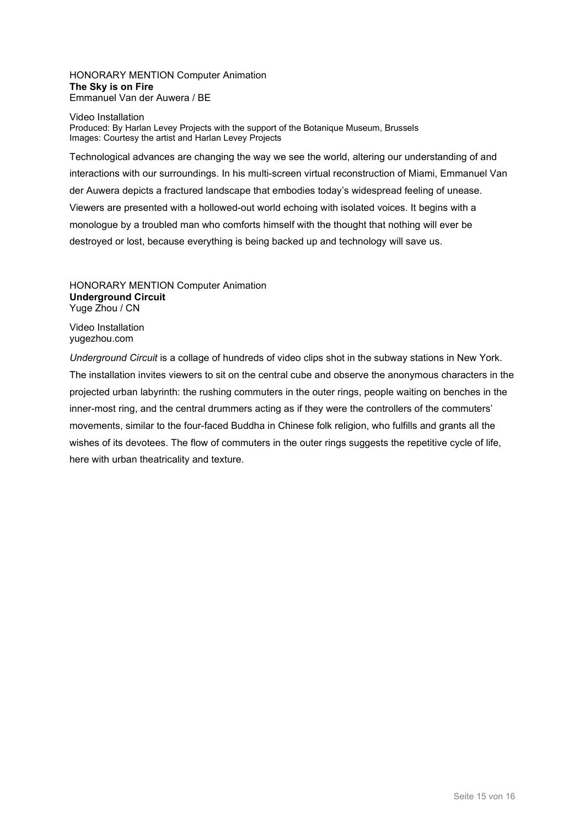#### HONORARY MENTION Computer Animation **The Sky is on Fire** Emmanuel Van der Auwera / BE

#### Video Installation Produced: By Harlan Levey Projects with the support of the Botanique Museum, Brussels Images: Courtesy the artist and Harlan Levey Projects

Technological advances are changing the way we see the world, altering our understanding of and interactions with our surroundings. In his multi-screen virtual reconstruction of Miami, Emmanuel Van der Auwera depicts a fractured landscape that embodies today's widespread feeling of unease. Viewers are presented with a hollowed-out world echoing with isolated voices. It begins with a monologue by a troubled man who comforts himself with the thought that nothing will ever be destroyed or lost, because everything is being backed up and technology will save us.

HONORARY MENTION Computer Animation **Underground Circuit** Yuge Zhou / CN

Video Installation yugezhou.com

*Underground Circuit* is a collage of hundreds of video clips shot in the subway stations in New York. The installation invites viewers to sit on the central cube and observe the anonymous characters in the projected urban labyrinth: the rushing commuters in the outer rings, people waiting on benches in the inner-most ring, and the central drummers acting as if they were the controllers of the commuters' movements, similar to the four-faced Buddha in Chinese folk religion, who fulfills and grants all the wishes of its devotees. The flow of commuters in the outer rings suggests the repetitive cycle of life, here with urban theatricality and texture.